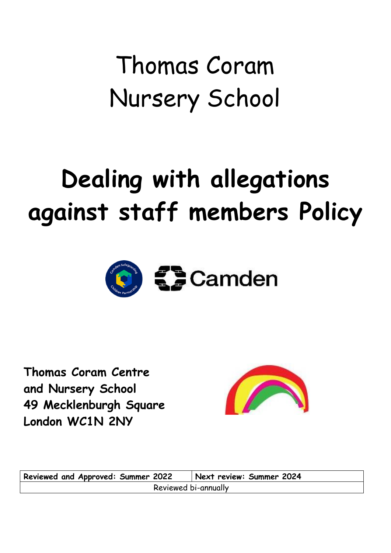# Thomas Coram Nursery School

# **Dealing with allegations against staff members Policy**



**Thomas Coram Centre and Nursery School 49 Mecklenburgh Square London WC1N 2NY**



**Reviewed and Approved: Summer 2022 Next review: Summer 2024** Reviewed bi-annually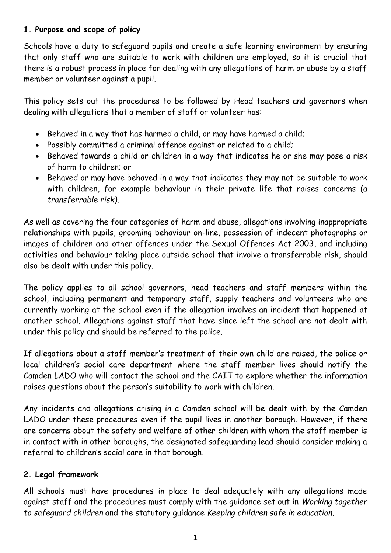# **1. Purpose and scope of policy**

Schools have a duty to safeguard pupils and create a safe learning environment by ensuring that only staff who are suitable to work with children are employed, so it is crucial that there is a robust process in place for dealing with any allegations of harm or abuse by a staff member or volunteer against a pupil.

This policy sets out the procedures to be followed by Head teachers and governors when dealing with allegations that a member of staff or volunteer has:

- Behaved in a way that has harmed a child, or may have harmed a child;
- Possibly committed a criminal offence against or related to a child;
- Behaved towards a child or children in a way that indicates he or she may pose a risk of harm to children; or
- Behaved or may have behaved in a way that indicates they may not be suitable to work with children, for example behaviour in their private life that raises concerns (a *transferrable risk)*.

As well as covering the four categories of harm and abuse, allegations involving inappropriate relationships with pupils, grooming behaviour on-line, possession of indecent photographs or images of children and other offences under the Sexual Offences Act 2003, and including activities and behaviour taking place outside school that involve a transferrable risk, should also be dealt with under this policy.

The policy applies to all school governors, head teachers and staff members within the school, including permanent and temporary staff, supply teachers and volunteers who are currently working at the school even if the allegation involves an incident that happened at another school. Allegations against staff that have since left the school are not dealt with under this policy and should be referred to the police.

If allegations about a staff member's treatment of their own child are raised, the police or local children's social care department where the staff member lives should notify the Camden LADO who will contact the school and the CAIT to explore whether the information raises questions about the person's suitability to work with children.

Any incidents and allegations arising in a Camden school will be dealt with by the Camden LADO under these procedures even if the pupil lives in another borough. However, if there are concerns about the safety and welfare of other children with whom the staff member is in contact with in other boroughs, the designated safeguarding lead should consider making a referral to children's social care in that borough.

# **2. Legal framework**

All schools must have procedures in place to deal adequately with any allegations made against staff and the procedures must comply with the guidance set out in *Working together to safeguard children* and the statutory guidance *Keeping children safe in education*.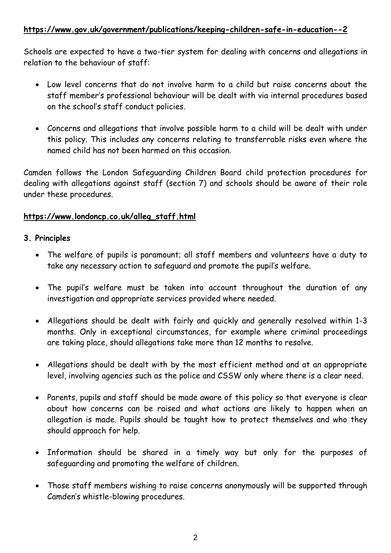# **<https://www.gov.uk/government/publications/keeping-children-safe-in-education--2>**

Schools are expected to have a two-tier system for dealing with concerns and allegations in relation to the behaviour of staff:

- Low level concerns that do not involve harm to a child but raise concerns about the staff member's professional behaviour will be dealt with via internal procedures based on the school's staff conduct policies.
- Concerns and allegations that involve possible harm to a child will be dealt with under this policy. This includes any concerns relating to transferrable risks even where the named child has not been harmed on this occasion.

Camden follows the London Safeguarding Children Board child protection procedures for dealing with allegations against staff (section 7) and schools should be aware of their role under these procedures.

# **[https://www.londoncp.co.uk/alleg\\_staff.html](https://www.londoncp.co.uk/alleg_staff.html)**

# **3. Principles**

- The welfare of pupils is paramount; all staff members and volunteers have a duty to take any necessary action to safeguard and promote the pupil's welfare.
- The pupil's welfare must be taken into account throughout the duration of any investigation and appropriate services provided where needed.
- Allegations should be dealt with fairly and quickly and generally resolved within 1-3 months. Only in exceptional circumstances, for example where criminal proceedings are taking place, should allegations take more than 12 months to resolve.
- Allegations should be dealt with by the most efficient method and at an appropriate level, involving agencies such as the police and CSSW only where there is a clear need.
- Parents, pupils and staff should be made aware of this policy so that everyone is clear about how concerns can be raised and what actions are likely to happen when an allegation is made. Pupils should be taught how to protect themselves and who they should approach for help.
- Information should be shared in a timely way but only for the purposes of safeguarding and promoting the welfare of children.
- Those staff members wishing to raise concerns anonymously will be supported through Camden's whistle-blowing procedures.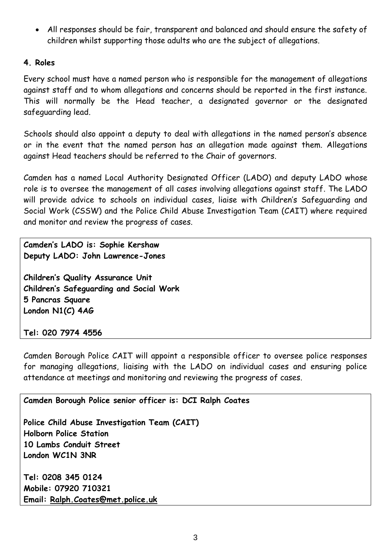All responses should be fair, transparent and balanced and should ensure the safety of children whilst supporting those adults who are the subject of allegations.

## **4. Roles**

Every school must have a named person who is responsible for the management of allegations against staff and to whom allegations and concerns should be reported in the first instance. This will normally be the Head teacher, a designated governor or the designated safeguarding lead.

Schools should also appoint a deputy to deal with allegations in the named person's absence or in the event that the named person has an allegation made against them. Allegations against Head teachers should be referred to the Chair of governors.

Camden has a named Local Authority Designated Officer (LADO) and deputy LADO whose role is to oversee the management of all cases involving allegations against staff. The LADO will provide advice to schools on individual cases, liaise with Children's Safeguarding and Social Work (CSSW) and the Police Child Abuse Investigation Team (CAIT) where required and monitor and review the progress of cases.

**Camden's LADO is: Sophie Kershaw Deputy LADO: John Lawrence-Jones**

**Children's Quality Assurance Unit Children's Safeguarding and Social Work 5 Pancras Square London N1(C) 4AG**

**Tel: 020 7974 4556**

Camden Borough Police CAIT will appoint a responsible officer to oversee police responses for managing allegations, liaising with the LADO on individual cases and ensuring police attendance at meetings and monitoring and reviewing the progress of cases.

**Camden Borough Police senior officer is: DCI Ralph Coates**

**Police Child Abuse Investigation Team (CAIT) Holborn Police Station 10 Lambs Conduit Street London WC1N 3NR**

**Tel: 0208 345 0124 Mobile: 07920 710321 Email: [Ralph.Coates@met.police.uk](mailto:Ralph.Coates@met.police.uk)**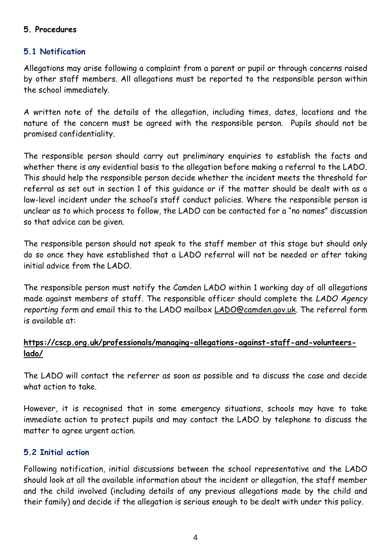### **5. Procedures**

# **5.1 Notification**

Allegations may arise following a complaint from a parent or pupil or through concerns raised by other staff members. All allegations must be reported to the responsible person within the school immediately.

A written note of the details of the allegation, including times, dates, locations and the nature of the concern must be agreed with the responsible person. Pupils should not be promised confidentiality.

The responsible person should carry out preliminary enquiries to establish the facts and whether there is any evidential basis to the allegation before making a referral to the LADO. This should help the responsible person decide whether the incident meets the threshold for referral as set out in section 1 of this guidance or if the matter should be dealt with as a low-level incident under the school's staff conduct policies. Where the responsible person is unclear as to which process to follow, the LADO can be contacted for a "no names" discussion so that advice can be given.

The responsible person should not speak to the staff member at this stage but should only do so once they have established that a LADO referral will not be needed or after taking initial advice from the LADO.

The responsible person must notify the Camden LADO within 1 working day of all allegations made against members of staff. The responsible officer should complete the *LADO Agency reporting form* and email this to the LADO mailbox [LADO@camden.gov.uk.](mailto:LADO@camden.gov.uk) The referral form is available at:

# **[https://cscp.org.uk/professionals/managing-allegations-against-staff-and-volunteers](https://cscp.org.uk/professionals/managing-allegations-against-staff-and-volunteers-lado/)[lado/](https://cscp.org.uk/professionals/managing-allegations-against-staff-and-volunteers-lado/)**

The LADO will contact the referrer as soon as possible and to discuss the case and decide what action to take.

However, it is recognised that in some emergency situations, schools may have to take immediate action to protect pupils and may contact the LADO by telephone to discuss the matter to agree urgent action.

# **5.2 Initial action**

Following notification, initial discussions between the school representative and the LADO should look at all the available information about the incident or allegation, the staff member and the child involved (including details of any previous allegations made by the child and their family) and decide if the allegation is serious enough to be dealt with under this policy.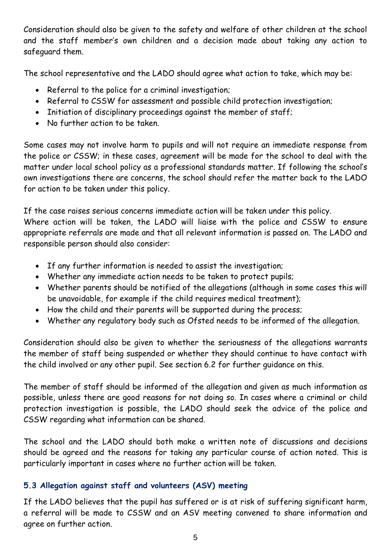Consideration should also be given to the safety and welfare of other children at the school and the staff member's own children and a decision made about taking any action to safeguard them.

The school representative and the LADO should agree what action to take, which may be:

- Referral to the police for a criminal investigation;
- Referral to CSSW for assessment and possible child protection investigation;
- Initiation of disciplinary proceedings against the member of staff;
- No further action to be taken.

Some cases may not involve harm to pupils and will not require an immediate response from the police or CSSW; in these cases, agreement will be made for the school to deal with the matter under local school policy as a professional standards matter. If following the school's own investigations there are concerns, the school should refer the matter back to the LADO for action to be taken under this policy.

If the case raises serious concerns immediate action will be taken under this policy. Where action will be taken, the LADO will liaise with the police and CSSW to ensure appropriate referrals are made and that all relevant information is passed on. The LADO and responsible person should also consider:

- If any further information is needed to assist the investigation;
- Whether any immediate action needs to be taken to protect pupils;
- Whether parents should be notified of the allegations (although in some cases this will be unavoidable, for example if the child requires medical treatment);
- How the child and their parents will be supported during the process;
- Whether any regulatory body such as Ofsted needs to be informed of the allegation.

Consideration should also be given to whether the seriousness of the allegations warrants the member of staff being suspended or whether they should continue to have contact with the child involved or any other pupil. See section 6.2 for further guidance on this.

The member of staff should be informed of the allegation and given as much information as possible, unless there are good reasons for not doing so. In cases where a criminal or child protection investigation is possible, the LADO should seek the advice of the police and CSSW regarding what information can be shared.

The school and the LADO should both make a written note of discussions and decisions should be agreed and the reasons for taking any particular course of action noted. This is particularly important in cases where no further action will be taken.

# **5.3 Allegation against staff and volunteers (ASV) meeting**

If the LADO believes that the pupil has suffered or is at risk of suffering significant harm, a referral will be made to CSSW and an ASV meeting convened to share information and agree on further action.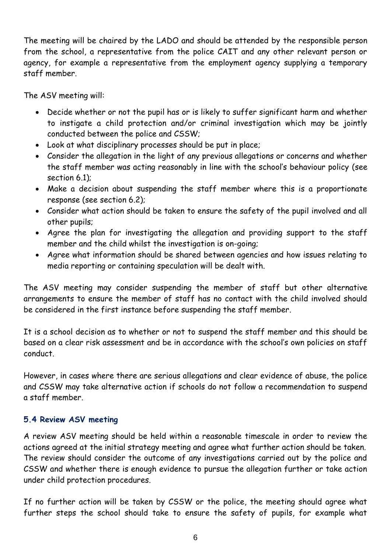The meeting will be chaired by the LADO and should be attended by the responsible person from the school, a representative from the police CAIT and any other relevant person or agency, for example a representative from the employment agency supplying a temporary staff member.

The ASV meeting will:

- Decide whether or not the pupil has or is likely to suffer significant harm and whether to instigate a child protection and/or criminal investigation which may be jointly conducted between the police and CSSW;
- Look at what disciplinary processes should be put in place;
- Consider the allegation in the light of any previous allegations or concerns and whether the staff member was acting reasonably in line with the school's behaviour policy (see section 6.1);
- Make a decision about suspending the staff member where this is a proportionate response (see section 6.2);
- Consider what action should be taken to ensure the safety of the pupil involved and all other pupils;
- Agree the plan for investigating the allegation and providing support to the staff member and the child whilst the investigation is on-going;
- Agree what information should be shared between agencies and how issues relating to media reporting or containing speculation will be dealt with.

The ASV meeting may consider suspending the member of staff but other alternative arrangements to ensure the member of staff has no contact with the child involved should be considered in the first instance before suspending the staff member.

It is a school decision as to whether or not to suspend the staff member and this should be based on a clear risk assessment and be in accordance with the school's own policies on staff conduct.

However, in cases where there are serious allegations and clear evidence of abuse, the police and CSSW may take alternative action if schools do not follow a recommendation to suspend a staff member.

# **5.4 Review ASV meeting**

A review ASV meeting should be held within a reasonable timescale in order to review the actions agreed at the initial strategy meeting and agree what further action should be taken. The review should consider the outcome of any investigations carried out by the police and CSSW and whether there is enough evidence to pursue the allegation further or take action under child protection procedures.

If no further action will be taken by CSSW or the police, the meeting should agree what further steps the school should take to ensure the safety of pupils, for example what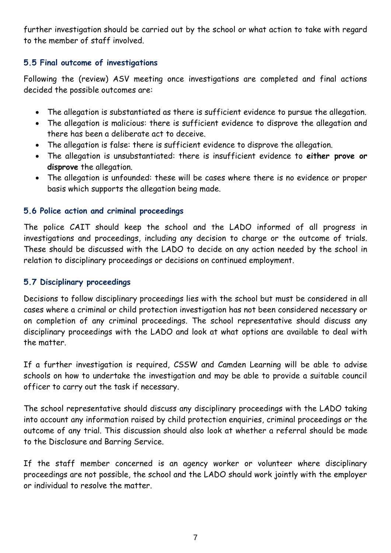further investigation should be carried out by the school or what action to take with regard to the member of staff involved.

# **5.5 Final outcome of investigations**

Following the (review) ASV meeting once investigations are completed and final actions decided the possible outcomes are:

- The allegation is substantiated as there is sufficient evidence to pursue the allegation.
- The allegation is malicious: there is sufficient evidence to disprove the allegation and there has been a deliberate act to deceive.
- The allegation is false: there is sufficient evidence to disprove the allegation.
- The allegation is unsubstantiated: there is insufficient evidence to **either prove or disprove** the allegation.
- The allegation is unfounded: these will be cases where there is no evidence or proper basis which supports the allegation being made.

# **5.6 Police action and criminal proceedings**

The police CAIT should keep the school and the LADO informed of all progress in investigations and proceedings, including any decision to charge or the outcome of trials. These should be discussed with the LADO to decide on any action needed by the school in relation to disciplinary proceedings or decisions on continued employment.

# **5.7 Disciplinary proceedings**

Decisions to follow disciplinary proceedings lies with the school but must be considered in all cases where a criminal or child protection investigation has not been considered necessary or on completion of any criminal proceedings. The school representative should discuss any disciplinary proceedings with the LADO and look at what options are available to deal with the matter.

If a further investigation is required, CSSW and Camden Learning will be able to advise schools on how to undertake the investigation and may be able to provide a suitable council officer to carry out the task if necessary.

The school representative should discuss any disciplinary proceedings with the LADO taking into account any information raised by child protection enquiries, criminal proceedings or the outcome of any trial. This discussion should also look at whether a referral should be made to the Disclosure and Barring Service.

If the staff member concerned is an agency worker or volunteer where disciplinary proceedings are not possible, the school and the LADO should work jointly with the employer or individual to resolve the matter.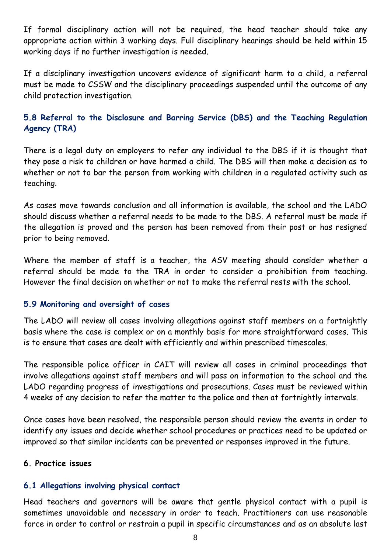If formal disciplinary action will not be required, the head teacher should take any appropriate action within 3 working days. Full disciplinary hearings should be held within 15 working days if no further investigation is needed.

If a disciplinary investigation uncovers evidence of significant harm to a child, a referral must be made to CSSW and the disciplinary proceedings suspended until the outcome of any child protection investigation.

# **5.8 Referral to the Disclosure and Barring Service (DBS) and the Teaching Regulation Agency (TRA)**

There is a legal duty on employers to refer any individual to the DBS if it is thought that they pose a risk to children or have harmed a child. The DBS will then make a decision as to whether or not to bar the person from working with children in a regulated activity such as teaching.

As cases move towards conclusion and all information is available, the school and the LADO should discuss whether a referral needs to be made to the DBS. A referral must be made if the allegation is proved and the person has been removed from their post or has resigned prior to being removed.

Where the member of staff is a teacher, the ASV meeting should consider whether a referral should be made to the TRA in order to consider a prohibition from teaching. However the final decision on whether or not to make the referral rests with the school.

#### **5.9 Monitoring and oversight of cases**

The LADO will review all cases involving allegations against staff members on a fortnightly basis where the case is complex or on a monthly basis for more straightforward cases. This is to ensure that cases are dealt with efficiently and within prescribed timescales.

The responsible police officer in CAIT will review all cases in criminal proceedings that involve allegations against staff members and will pass on information to the school and the LADO regarding progress of investigations and prosecutions. Cases must be reviewed within 4 weeks of any decision to refer the matter to the police and then at fortnightly intervals.

Once cases have been resolved, the responsible person should review the events in order to identify any issues and decide whether school procedures or practices need to be updated or improved so that similar incidents can be prevented or responses improved in the future.

#### **6. Practice issues**

# **6.1 Allegations involving physical contact**

Head teachers and governors will be aware that gentle physical contact with a pupil is sometimes unavoidable and necessary in order to teach. Practitioners can use reasonable force in order to control or restrain a pupil in specific circumstances and as an absolute last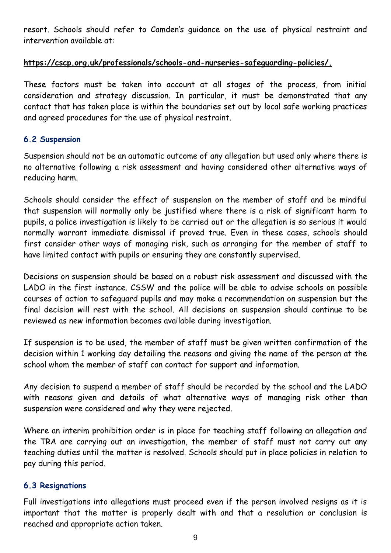resort. Schools should refer to Camden's guidance on the use of physical restraint and intervention available at:

# **https://cscp.org.uk/professionals/schools-and-nurseries-safeguarding-policies/.**

These factors must be taken into account at all stages of the process, from initial consideration and strategy discussion. In particular, it must be demonstrated that any contact that has taken place is within the boundaries set out by local safe working practices and agreed procedures for the use of physical restraint.

# **6.2 Suspension**

Suspension should not be an automatic outcome of any allegation but used only where there is no alternative following a risk assessment and having considered other alternative ways of reducing harm.

Schools should consider the effect of suspension on the member of staff and be mindful that suspension will normally only be justified where there is a risk of significant harm to pupils, a police investigation is likely to be carried out or the allegation is so serious it would normally warrant immediate dismissal if proved true. Even in these cases, schools should first consider other ways of managing risk, such as arranging for the member of staff to have limited contact with pupils or ensuring they are constantly supervised.

Decisions on suspension should be based on a robust risk assessment and discussed with the LADO in the first instance. CSSW and the police will be able to advise schools on possible courses of action to safeguard pupils and may make a recommendation on suspension but the final decision will rest with the school. All decisions on suspension should continue to be reviewed as new information becomes available during investigation.

If suspension is to be used, the member of staff must be given written confirmation of the decision within 1 working day detailing the reasons and giving the name of the person at the school whom the member of staff can contact for support and information.

Any decision to suspend a member of staff should be recorded by the school and the LADO with reasons given and details of what alternative ways of managing risk other than suspension were considered and why they were rejected.

Where an interim prohibition order is in place for teaching staff following an allegation and the TRA are carrying out an investigation, the member of staff must not carry out any teaching duties until the matter is resolved. Schools should put in place policies in relation to pay during this period.

# **6.3 Resignations**

Full investigations into allegations must proceed even if the person involved resigns as it is important that the matter is properly dealt with and that a resolution or conclusion is reached and appropriate action taken.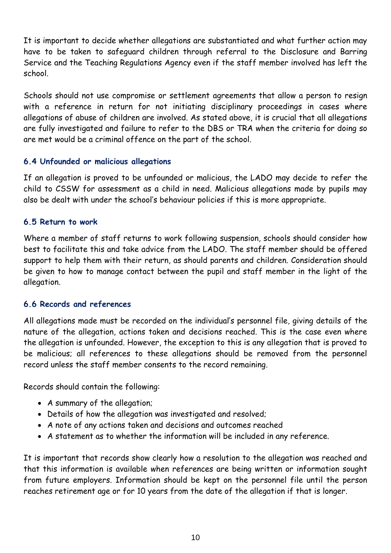It is important to decide whether allegations are substantiated and what further action may have to be taken to safeguard children through referral to the Disclosure and Barring Service and the Teaching Regulations Agency even if the staff member involved has left the school.

Schools should not use compromise or settlement agreements that allow a person to resign with a reference in return for not initiating disciplinary proceedings in cases where allegations of abuse of children are involved. As stated above, it is crucial that all allegations are fully investigated and failure to refer to the DBS or TRA when the criteria for doing so are met would be a criminal offence on the part of the school.

#### **6.4 Unfounded or malicious allegations**

If an allegation is proved to be unfounded or malicious, the LADO may decide to refer the child to CSSW for assessment as a child in need. Malicious allegations made by pupils may also be dealt with under the school's behaviour policies if this is more appropriate.

#### **6.5 Return to work**

Where a member of staff returns to work following suspension, schools should consider how best to facilitate this and take advice from the LADO. The staff member should be offered support to help them with their return, as should parents and children. Consideration should be given to how to manage contact between the pupil and staff member in the light of the allegation.

#### **6.6 Records and references**

All allegations made must be recorded on the individual's personnel file, giving details of the nature of the allegation, actions taken and decisions reached. This is the case even where the allegation is unfounded. However, the exception to this is any allegation that is proved to be malicious; all references to these allegations should be removed from the personnel record unless the staff member consents to the record remaining.

Records should contain the following:

- A summary of the allegation;
- Details of how the allegation was investigated and resolved;
- A note of any actions taken and decisions and outcomes reached
- A statement as to whether the information will be included in any reference.

It is important that records show clearly how a resolution to the allegation was reached and that this information is available when references are being written or information sought from future employers. Information should be kept on the personnel file until the person reaches retirement age or for 10 years from the date of the allegation if that is longer.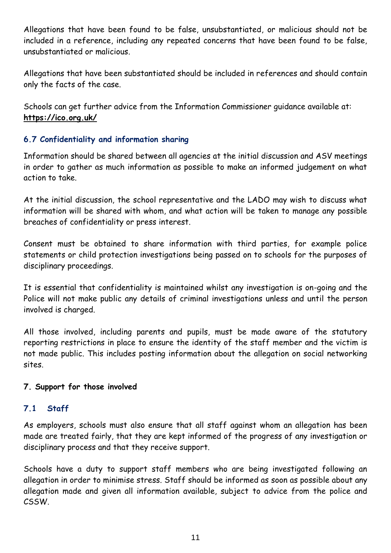Allegations that have been found to be false, unsubstantiated, or malicious should not be included in a reference, including any repeated concerns that have been found to be false, unsubstantiated or malicious.

Allegations that have been substantiated should be included in references and should contain only the facts of the case.

Schools can get further advice from the Information Commissioner guidance available at: **https://ico.org.uk/**

# **6.7 Confidentiality and information sharing**

Information should be shared between all agencies at the initial discussion and ASV meetings in order to gather as much information as possible to make an informed judgement on what action to take.

At the initial discussion, the school representative and the LADO may wish to discuss what information will be shared with whom, and what action will be taken to manage any possible breaches of confidentiality or press interest.

Consent must be obtained to share information with third parties, for example police statements or child protection investigations being passed on to schools for the purposes of disciplinary proceedings.

It is essential that confidentiality is maintained whilst any investigation is on-going and the Police will not make public any details of criminal investigations unless and until the person involved is charged.

All those involved, including parents and pupils, must be made aware of the statutory reporting restrictions in place to ensure the identity of the staff member and the victim is not made public. This includes posting information about the allegation on social networking sites.

# **7. Support for those involved**

# **7.1 Staff**

As employers, schools must also ensure that all staff against whom an allegation has been made are treated fairly, that they are kept informed of the progress of any investigation or disciplinary process and that they receive support.

Schools have a duty to support staff members who are being investigated following an allegation in order to minimise stress. Staff should be informed as soon as possible about any allegation made and given all information available, subject to advice from the police and CSSW.